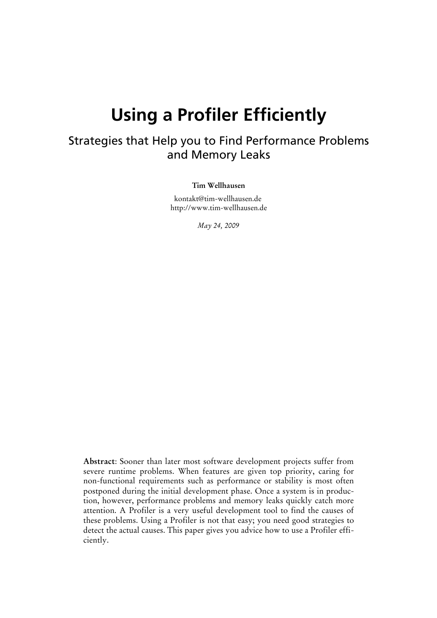# **Using a Profiler Efficiently**

### Strategies that Help you to Find Performance Problems and Memory Leaks

#### **Tim Wellhausen**

kontakt@tim-wellhausen.de http://www.tim-wellhausen.de

*May 24, 2009*

**Abstract**: Sooner than later most software development projects suffer from severe runtime problems. When features are given top priority, caring for non-functional requirements such as performance or stability is most often postponed during the initial development phase. Once a system is in production, however, performance problems and memory leaks quickly catch more attention. A Profiler is a very useful development tool to find the causes of these problems. Using a Profiler is not that easy; you need good strategies to detect the actual causes. This paper gives you advice how to use a Profiler efficiently.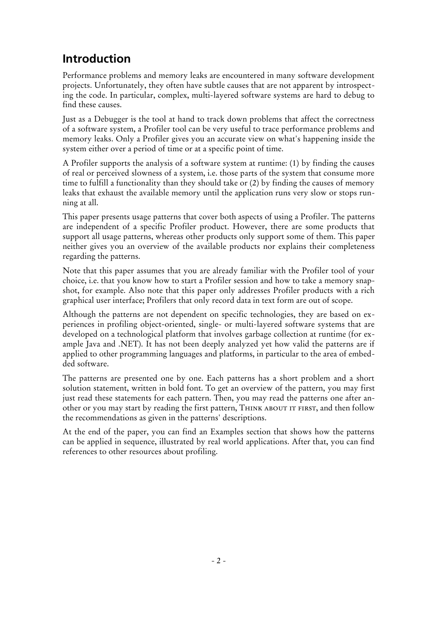### **Introduction**

Performance problems and memory leaks are encountered in many software development projects. Unfortunately, they often have subtle causes that are not apparent by introspecting the code. In particular, complex, multi-layered software systems are hard to debug to find these causes.

Just as a Debugger is the tool at hand to track down problems that affect the correctness of a software system, a Profiler tool can be very useful to trace performance problems and memory leaks. Only a Profiler gives you an accurate view on what's happening inside the system either over a period of time or at a specific point of time.

A Profiler supports the analysis of a software system at runtime: (1) by finding the causes of real or perceived slowness of a system, i.e. those parts of the system that consume more time to fulfill a functionality than they should take or (2) by finding the causes of memory leaks that exhaust the available memory until the application runs very slow or stops running at all.

This paper presents usage patterns that cover both aspects of using a Profiler. The patterns are independent of a specific Profiler product. However, there are some products that support all usage patterns, whereas other products only support some of them. This paper neither gives you an overview of the available products nor explains their completeness regarding the patterns.

Note that this paper assumes that you are already familiar with the Profiler tool of your choice, i.e. that you know how to start a Profiler session and how to take a memory snapshot, for example. Also note that this paper only addresses Profiler products with a rich graphical user interface; Profilers that only record data in text form are out of scope.

Although the patterns are not dependent on specific technologies, they are based on experiences in profiling object-oriented, single- or multi-layered software systems that are developed on a technological platform that involves garbage collection at runtime (for example Java and .NET). It has not been deeply analyzed yet how valid the patterns are if applied to other programming languages and platforms, in particular to the area of embedded software.

The patterns are presented one by one. Each patterns has a short problem and a short solution statement, written in bold font. To get an overview of the pattern, you may first just read these statements for each pattern. Then, you may read the patterns one after another or you may start by reading the first pattern, THINK ABOUT IT FIRST, and then follow the recommendations as given in the patterns' descriptions.

At the end of the paper, you can find an Examples section that shows how the patterns can be applied in sequence, illustrated by real world applications. After that, you can find references to other resources about profiling.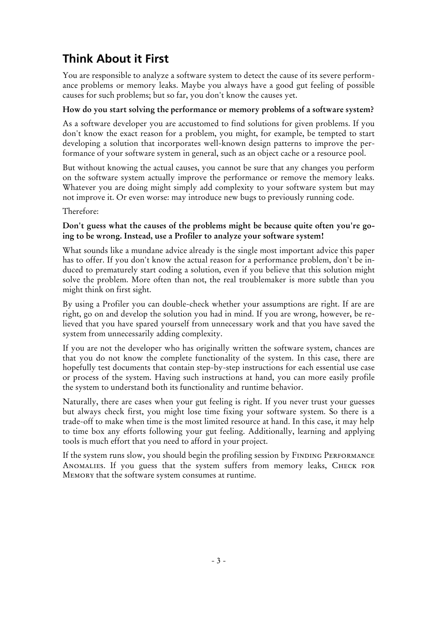# **Think About it First**

You are responsible to analyze a software system to detect the cause of its severe performance problems or memory leaks. Maybe you always have a good gut feeling of possible causes for such problems; but so far, you don't know the causes yet.

#### **How do you start solving the performance or memory problems of a software system?**

As a software developer you are accustomed to find solutions for given problems. If you don't know the exact reason for a problem, you might, for example, be tempted to start developing a solution that incorporates well-known design patterns to improve the performance of your software system in general, such as an object cache or a resource pool.

But without knowing the actual causes, you cannot be sure that any changes you perform on the software system actually improve the performance or remove the memory leaks. Whatever you are doing might simply add complexity to your software system but may not improve it. Or even worse: may introduce new bugs to previously running code.

Therefore:

#### **Don't guess what the causes of the problems might be because quite often you're going to be wrong. Instead, use a Profiler to analyze your software system!**

What sounds like a mundane advice already is the single most important advice this paper has to offer. If you don't know the actual reason for a performance problem, don't be induced to prematurely start coding a solution, even if you believe that this solution might solve the problem. More often than not, the real troublemaker is more subtle than you might think on first sight.

By using a Profiler you can double-check whether your assumptions are right. If are are right, go on and develop the solution you had in mind. If you are wrong, however, be relieved that you have spared yourself from unnecessary work and that you have saved the system from unnecessarily adding complexity.

If you are not the developer who has originally written the software system, chances are that you do not know the complete functionality of the system. In this case, there are hopefully test documents that contain step-by-step instructions for each essential use case or process of the system. Having such instructions at hand, you can more easily profile the system to understand both its functionality and runtime behavior.

Naturally, there are cases when your gut feeling is right. If you never trust your guesses but always check first, you might lose time fixing your software system. So there is a trade-off to make when time is the most limited resource at hand. In this case, it may help to time box any efforts following your gut feeling. Additionally, learning and applying tools is much effort that you need to afford in your project.

If the system runs slow, you should begin the profiling session by FINDING PERFORMANCE ANOMALIES. If you guess that the system suffers from memory leaks, CHECK FOR Memory that the software system consumes at runtime.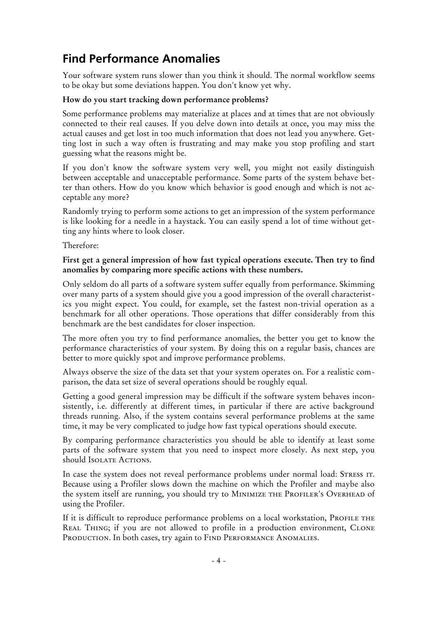### **Find Performance Anomalies**

Your software system runs slower than you think it should. The normal workflow seems to be okay but some deviations happen. You don't know yet why.

#### **How do you start tracking down performance problems?**

Some performance problems may materialize at places and at times that are not obviously connected to their real causes. If you delve down into details at once, you may miss the actual causes and get lost in too much information that does not lead you anywhere. Getting lost in such a way often is frustrating and may make you stop profiling and start guessing what the reasons might be.

If you don't know the software system very well, you might not easily distinguish between acceptable and unacceptable performance. Some parts of the system behave better than others. How do you know which behavior is good enough and which is not acceptable any more?

Randomly trying to perform some actions to get an impression of the system performance is like looking for a needle in a haystack. You can easily spend a lot of time without getting any hints where to look closer.

Therefore:

#### **First get a general impression of how fast typical operations execute. Then try to find anomalies by comparing more specific actions with these numbers.**

Only seldom do all parts of a software system suffer equally from performance. Skimming over many parts of a system should give you a good impression of the overall characteristics you might expect. You could, for example, set the fastest non-trivial operation as a benchmark for all other operations. Those operations that differ considerably from this benchmark are the best candidates for closer inspection.

The more often you try to find performance anomalies, the better you get to know the performance characteristics of your system. By doing this on a regular basis, chances are better to more quickly spot and improve performance problems.

Always observe the size of the data set that your system operates on. For a realistic comparison, the data set size of several operations should be roughly equal.

Getting a good general impression may be difficult if the software system behaves inconsistently, i.e. differently at different times, in particular if there are active background threads running. Also, if the system contains several performance problems at the same time, it may be very complicated to judge how fast typical operations should execute.

By comparing performance characteristics you should be able to identify at least some parts of the software system that you need to inspect more closely. As next step, you should ISOLATE ACTIONS.

In case the system does not reveal performance problems under normal load: STRESS IT. Because using a Profiler slows down the machine on which the Profiler and maybe also the system itself are running, you should try to MINIMIZE THE PROFILER'S OVERHEAD of using the Profiler.

If it is difficult to reproduce performance problems on a local workstation, PROFILE THE REAL THING; if you are not allowed to profile in a production environment, CLONE PRODUCTION. In both cases, try again to FIND PERFORMANCE ANOMALIES.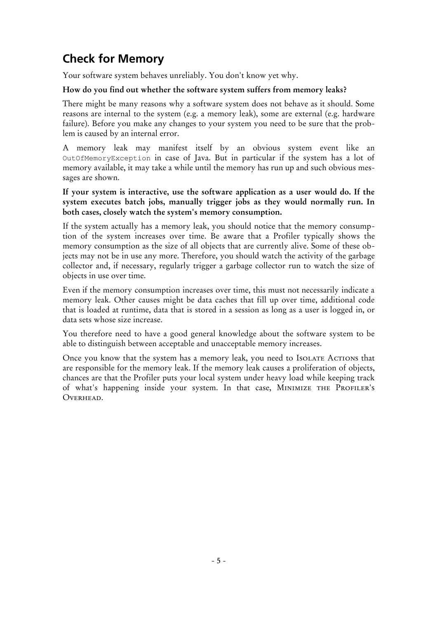### **Check for Memory**

Your software system behaves unreliably. You don't know yet why.

#### **How do you find out whether the software system suffers from memory leaks?**

There might be many reasons why a software system does not behave as it should. Some reasons are internal to the system (e.g. a memory leak), some are external (e.g. hardware failure). Before you make any changes to your system you need to be sure that the problem is caused by an internal error.

A memory leak may manifest itself by an obvious system event like an OutOfMemoryException in case of Java. But in particular if the system has a lot of memory available, it may take a while until the memory has run up and such obvious messages are shown.

**If your system is interactive, use the software application as a user would do. If the system executes batch jobs, manually trigger jobs as they would normally run. In both cases, closely watch the system's memory consumption.**

If the system actually has a memory leak, you should notice that the memory consumption of the system increases over time. Be aware that a Profiler typically shows the memory consumption as the size of all objects that are currently alive. Some of these objects may not be in use any more. Therefore, you should watch the activity of the garbage collector and, if necessary, regularly trigger a garbage collector run to watch the size of objects in use over time.

Even if the memory consumption increases over time, this must not necessarily indicate a memory leak. Other causes might be data caches that fill up over time, additional code that is loaded at runtime, data that is stored in a session as long as a user is logged in, or data sets whose size increase.

You therefore need to have a good general knowledge about the software system to be able to distinguish between acceptable and unacceptable memory increases.

Once you know that the system has a memory leak, you need to Isolate Actions that are responsible for the memory leak. If the memory leak causes a proliferation of objects, chances are that the Profiler puts your local system under heavy load while keeping track of what's happening inside your system. In that case, MINIMIZE THE PROFILER's OVERHEAD.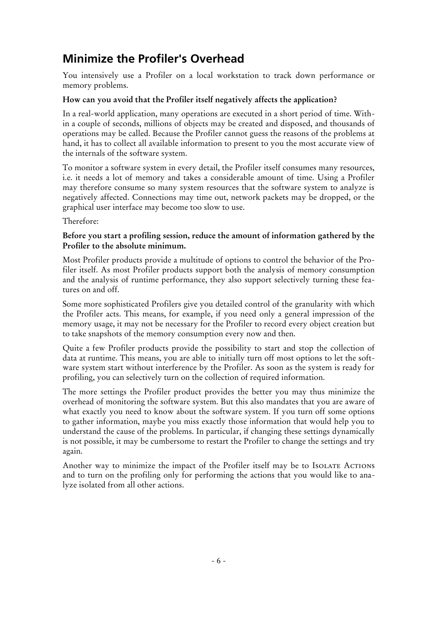### **Minimize the Profiler's Overhead**

You intensively use a Profiler on a local workstation to track down performance or memory problems.

#### **How can you avoid that the Profiler itself negatively affects the application?**

In a real-world application, many operations are executed in a short period of time. Within a couple of seconds, millions of objects may be created and disposed, and thousands of operations may be called. Because the Profiler cannot guess the reasons of the problems at hand, it has to collect all available information to present to you the most accurate view of the internals of the software system.

To monitor a software system in every detail, the Profiler itself consumes many resources, i.e. it needs a lot of memory and takes a considerable amount of time. Using a Profiler may therefore consume so many system resources that the software system to analyze is negatively affected. Connections may time out, network packets may be dropped, or the graphical user interface may become too slow to use.

Therefore:

#### **Before you start a profiling session, reduce the amount of information gathered by the Profiler to the absolute minimum.**

Most Profiler products provide a multitude of options to control the behavior of the Profiler itself. As most Profiler products support both the analysis of memory consumption and the analysis of runtime performance, they also support selectively turning these features on and off.

Some more sophisticated Profilers give you detailed control of the granularity with which the Profiler acts. This means, for example, if you need only a general impression of the memory usage, it may not be necessary for the Profiler to record every object creation but to take snapshots of the memory consumption every now and then.

Quite a few Profiler products provide the possibility to start and stop the collection of data at runtime. This means, you are able to initially turn off most options to let the software system start without interference by the Profiler. As soon as the system is ready for profiling, you can selectively turn on the collection of required information.

The more settings the Profiler product provides the better you may thus minimize the overhead of monitoring the software system. But this also mandates that you are aware of what exactly you need to know about the software system. If you turn off some options to gather information, maybe you miss exactly those information that would help you to understand the cause of the problems. In particular, if changing these settings dynamically is not possible, it may be cumbersome to restart the Profiler to change the settings and try again.

Another way to minimize the impact of the Profiler itself may be to ISOLATE ACTIONS and to turn on the profiling only for performing the actions that you would like to analyze isolated from all other actions.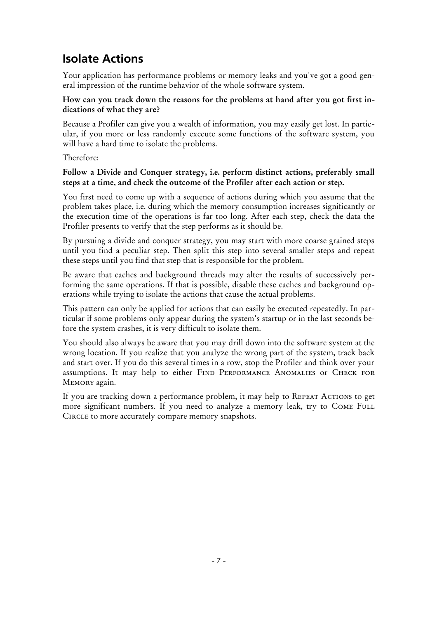### **Isolate Actions**

Your application has performance problems or memory leaks and you've got a good general impression of the runtime behavior of the whole software system.

#### **How can you track down the reasons for the problems at hand after you got first indications of what they are?**

Because a Profiler can give you a wealth of information, you may easily get lost. In particular, if you more or less randomly execute some functions of the software system, you will have a hard time to isolate the problems.

Therefore:

#### **Follow a Divide and Conquer strategy, i.e. perform distinct actions, preferably small steps at a time, and check the outcome of the Profiler after each action or step.**

You first need to come up with a sequence of actions during which you assume that the problem takes place, i.e. during which the memory consumption increases significantly or the execution time of the operations is far too long. After each step, check the data the Profiler presents to verify that the step performs as it should be.

By pursuing a divide and conquer strategy, you may start with more coarse grained steps until you find a peculiar step. Then split this step into several smaller steps and repeat these steps until you find that step that is responsible for the problem.

Be aware that caches and background threads may alter the results of successively performing the same operations. If that is possible, disable these caches and background operations while trying to isolate the actions that cause the actual problems.

This pattern can only be applied for actions that can easily be executed repeatedly. In particular if some problems only appear during the system's startup or in the last seconds before the system crashes, it is very difficult to isolate them.

You should also always be aware that you may drill down into the software system at the wrong location. If you realize that you analyze the wrong part of the system, track back and start over. If you do this several times in a row, stop the Profiler and think over your assumptions. It may help to either FIND PERFORMANCE ANOMALIES or CHECK FOR MEMORY again.

If you are tracking down a performance problem, it may help to REPEAT ACTIONS to get more significant numbers. If you need to analyze a memory leak, try to COME FULL Circle to more accurately compare memory snapshots.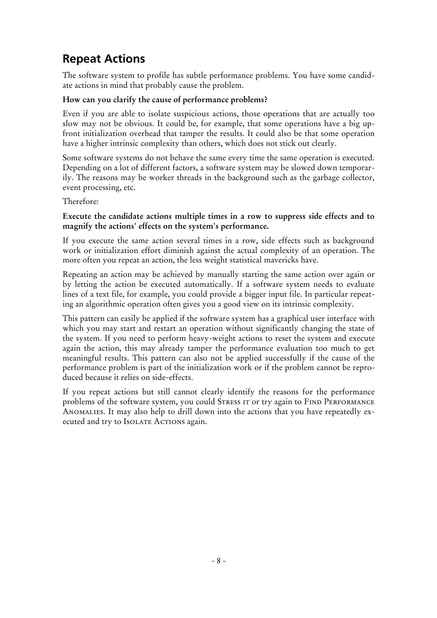### **Repeat Actions**

The software system to profile has subtle performance problems. You have some candidate actions in mind that probably cause the problem.

#### **How can you clarify the cause of performance problems?**

Even if you are able to isolate suspicious actions, those operations that are actually too slow may not be obvious. It could be, for example, that some operations have a big upfront initialization overhead that tamper the results. It could also be that some operation have a higher intrinsic complexity than others, which does not stick out clearly.

Some software systems do not behave the same every time the same operation is executed. Depending on a lot of different factors, a software system may be slowed down temporarily. The reasons may be worker threads in the background such as the garbage collector, event processing, etc.

Therefore:

#### **Execute the candidate actions multiple times in a row to suppress side effects and to magnify the actions' effects on the system's performance.**

If you execute the same action several times in a row, side effects such as background work or initialization effort diminish against the actual complexity of an operation. The more often you repeat an action, the less weight statistical mavericks have.

Repeating an action may be achieved by manually starting the same action over again or by letting the action be executed automatically. If a software system needs to evaluate lines of a text file, for example, you could provide a bigger input file. In particular repeating an algorithmic operation often gives you a good view on its intrinsic complexity.

This pattern can easily be applied if the software system has a graphical user interface with which you may start and restart an operation without significantly changing the state of the system. If you need to perform heavy-weight actions to reset the system and execute again the action, this may already tamper the performance evaluation too much to get meaningful results. This pattern can also not be applied successfully if the cause of the performance problem is part of the initialization work or if the problem cannot be reproduced because it relies on side-effects.

If you repeat actions but still cannot clearly identify the reasons for the performance problems of the software system, you could STRESS IT or try again to FIND PERFORMANCE Anomalies. It may also help to drill down into the actions that you have repeatedly executed and try to ISOLATE ACTIONS again.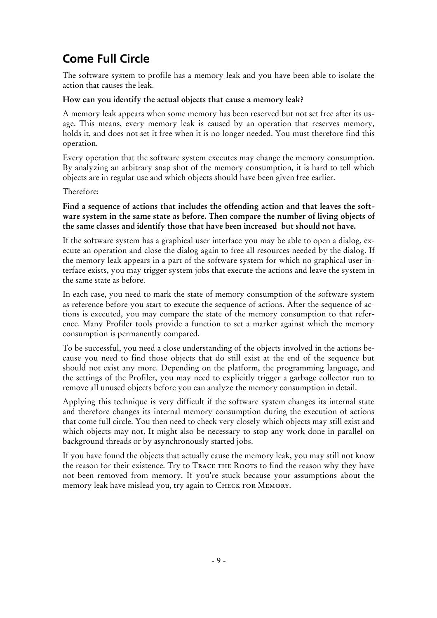### **Come Full Circle**

The software system to profile has a memory leak and you have been able to isolate the action that causes the leak.

#### **How can you identify the actual objects that cause a memory leak?**

A memory leak appears when some memory has been reserved but not set free after its usage. This means, every memory leak is caused by an operation that reserves memory, holds it, and does not set it free when it is no longer needed. You must therefore find this operation.

Every operation that the software system executes may change the memory consumption. By analyzing an arbitrary snap shot of the memory consumption, it is hard to tell which objects are in regular use and which objects should have been given free earlier.

Therefore:

#### **Find a sequence of actions that includes the offending action and that leaves the software system in the same state as before. Then compare the number of living objects of the same classes and identify those that have been increased but should not have.**

If the software system has a graphical user interface you may be able to open a dialog, execute an operation and close the dialog again to free all resources needed by the dialog. If the memory leak appears in a part of the software system for which no graphical user interface exists, you may trigger system jobs that execute the actions and leave the system in the same state as before.

In each case, you need to mark the state of memory consumption of the software system as reference before you start to execute the sequence of actions. After the sequence of actions is executed, you may compare the state of the memory consumption to that reference. Many Profiler tools provide a function to set a marker against which the memory consumption is permanently compared.

To be successful, you need a close understanding of the objects involved in the actions because you need to find those objects that do still exist at the end of the sequence but should not exist any more. Depending on the platform, the programming language, and the settings of the Profiler, you may need to explicitly trigger a garbage collector run to remove all unused objects before you can analyze the memory consumption in detail.

Applying this technique is very difficult if the software system changes its internal state and therefore changes its internal memory consumption during the execution of actions that come full circle. You then need to check very closely which objects may still exist and which objects may not. It might also be necessary to stop any work done in parallel on background threads or by asynchronously started jobs.

If you have found the objects that actually cause the memory leak, you may still not know the reason for their existence. Try to Trace THE ROOTS to find the reason why they have not been removed from memory. If you're stuck because your assumptions about the memory leak have mislead you, try again to Check for Memory.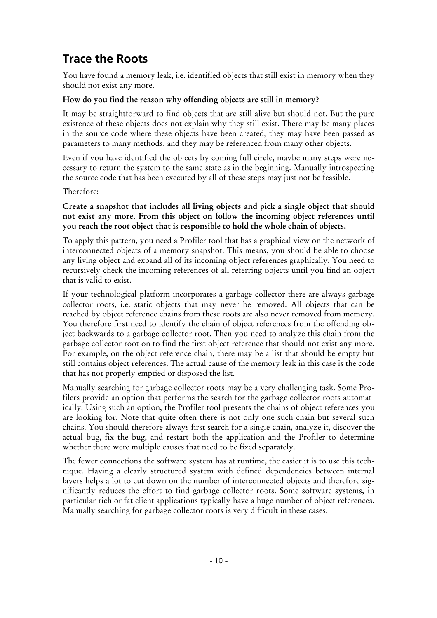### **Trace the Roots**

You have found a memory leak, i.e. identified objects that still exist in memory when they should not exist any more.

#### **How do you find the reason why offending objects are still in memory?**

It may be straightforward to find objects that are still alive but should not. But the pure existence of these objects does not explain why they still exist. There may be many places in the source code where these objects have been created, they may have been passed as parameters to many methods, and they may be referenced from many other objects.

Even if you have identified the objects by coming full circle, maybe many steps were necessary to return the system to the same state as in the beginning. Manually introspecting the source code that has been executed by all of these steps may just not be feasible.

Therefore:

#### **Create a snapshot that includes all living objects and pick a single object that should not exist any more. From this object on follow the incoming object references until you reach the root object that is responsible to hold the whole chain of objects.**

To apply this pattern, you need a Profiler tool that has a graphical view on the network of interconnected objects of a memory snapshot. This means, you should be able to choose any living object and expand all of its incoming object references graphically. You need to recursively check the incoming references of all referring objects until you find an object that is valid to exist.

If your technological platform incorporates a garbage collector there are always garbage collector roots, i.e. static objects that may never be removed. All objects that can be reached by object reference chains from these roots are also never removed from memory. You therefore first need to identify the chain of object references from the offending object backwards to a garbage collector root. Then you need to analyze this chain from the garbage collector root on to find the first object reference that should not exist any more. For example, on the object reference chain, there may be a list that should be empty but still contains object references. The actual cause of the memory leak in this case is the code that has not properly emptied or disposed the list.

Manually searching for garbage collector roots may be a very challenging task. Some Profilers provide an option that performs the search for the garbage collector roots automatically. Using such an option, the Profiler tool presents the chains of object references you are looking for. Note that quite often there is not only one such chain but several such chains. You should therefore always first search for a single chain, analyze it, discover the actual bug, fix the bug, and restart both the application and the Profiler to determine whether there were multiple causes that need to be fixed separately.

The fewer connections the software system has at runtime, the easier it is to use this technique. Having a clearly structured system with defined dependencies between internal layers helps a lot to cut down on the number of interconnected objects and therefore significantly reduces the effort to find garbage collector roots. Some software systems, in particular rich or fat client applications typically have a huge number of object references. Manually searching for garbage collector roots is very difficult in these cases.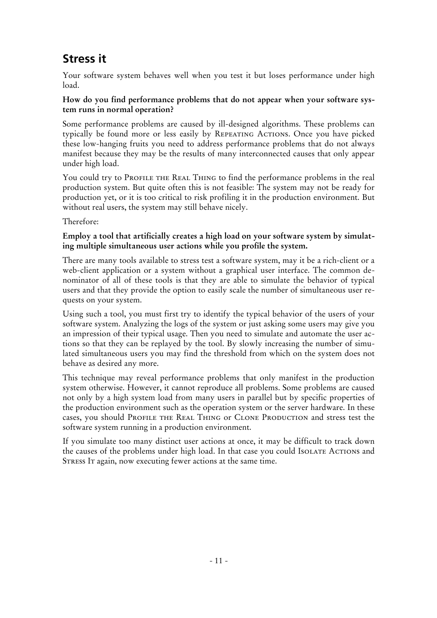# **Stress it**

Your software system behaves well when you test it but loses performance under high load.

#### **How do you find performance problems that do not appear when your software system runs in normal operation?**

Some performance problems are caused by ill-designed algorithms. These problems can typically be found more or less easily by Repeating Actions. Once you have picked these low-hanging fruits you need to address performance problems that do not always manifest because they may be the results of many interconnected causes that only appear under high load.

You could try to PROFILE THE REAL THING to find the performance problems in the real production system. But quite often this is not feasible: The system may not be ready for production yet, or it is too critical to risk profiling it in the production environment. But without real users, the system may still behave nicely.

Therefore:

#### **Employ a tool that artificially creates a high load on your software system by simulating multiple simultaneous user actions while you profile the system.**

There are many tools available to stress test a software system, may it be a rich-client or a web-client application or a system without a graphical user interface. The common denominator of all of these tools is that they are able to simulate the behavior of typical users and that they provide the option to easily scale the number of simultaneous user requests on your system.

Using such a tool, you must first try to identify the typical behavior of the users of your software system. Analyzing the logs of the system or just asking some users may give you an impression of their typical usage. Then you need to simulate and automate the user actions so that they can be replayed by the tool. By slowly increasing the number of simulated simultaneous users you may find the threshold from which on the system does not behave as desired any more.

This technique may reveal performance problems that only manifest in the production system otherwise. However, it cannot reproduce all problems. Some problems are caused not only by a high system load from many users in parallel but by specific properties of the production environment such as the operation system or the server hardware. In these cases, you should PROFILE THE REAL THING or CLONE PRODUCTION and stress test the software system running in a production environment.

If you simulate too many distinct user actions at once, it may be difficult to track down the causes of the problems under high load. In that case you could IsoLATE ACTIONS and STRESS IT again, now executing fewer actions at the same time.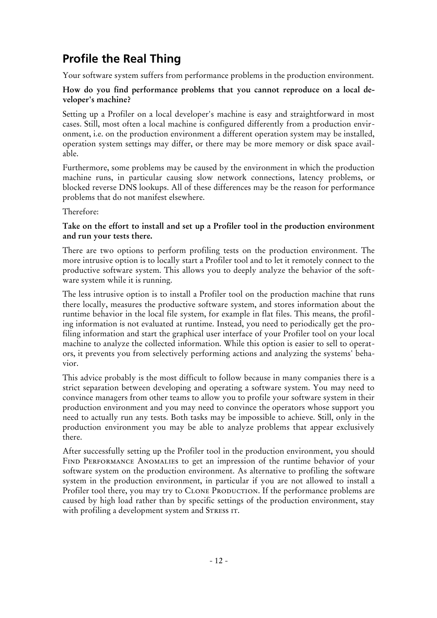# **Profile the Real Thing**

Your software system suffers from performance problems in the production environment.

#### **How do you find performance problems that you cannot reproduce on a local developer's machine?**

Setting up a Profiler on a local developer's machine is easy and straightforward in most cases. Still, most often a local machine is configured differently from a production environment, i.e. on the production environment a different operation system may be installed, operation system settings may differ, or there may be more memory or disk space available.

Furthermore, some problems may be caused by the environment in which the production machine runs, in particular causing slow network connections, latency problems, or blocked reverse DNS lookups. All of these differences may be the reason for performance problems that do not manifest elsewhere.

Therefore:

#### **Take on the effort to install and set up a Profiler tool in the production environment and run your tests there.**

There are two options to perform profiling tests on the production environment. The more intrusive option is to locally start a Profiler tool and to let it remotely connect to the productive software system. This allows you to deeply analyze the behavior of the software system while it is running.

The less intrusive option is to install a Profiler tool on the production machine that runs there locally, measures the productive software system, and stores information about the runtime behavior in the local file system, for example in flat files. This means, the profiling information is not evaluated at runtime. Instead, you need to periodically get the profiling information and start the graphical user interface of your Profiler tool on your local machine to analyze the collected information. While this option is easier to sell to operators, it prevents you from selectively performing actions and analyzing the systems' behavior.

This advice probably is the most difficult to follow because in many companies there is a strict separation between developing and operating a software system. You may need to convince managers from other teams to allow you to profile your software system in their production environment and you may need to convince the operators whose support you need to actually run any tests. Both tasks may be impossible to achieve. Still, only in the production environment you may be able to analyze problems that appear exclusively there.

After successfully setting up the Profiler tool in the production environment, you should FIND PERFORMANCE ANOMALIES to get an impression of the runtime behavior of your software system on the production environment. As alternative to profiling the software system in the production environment, in particular if you are not allowed to install a Profiler tool there, you may try to CLONE PRODUCTION. If the performance problems are caused by high load rather than by specific settings of the production environment, stay with profiling a development system and STRESS IT.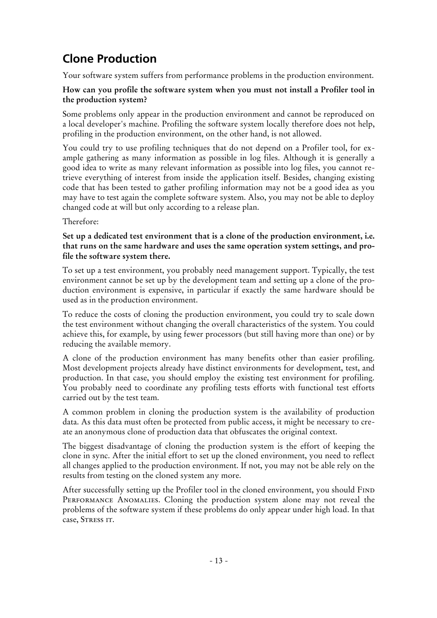# **Clone Production**

Your software system suffers from performance problems in the production environment.

#### **How can you profile the software system when you must not install a Profiler tool in the production system?**

Some problems only appear in the production environment and cannot be reproduced on a local developer's machine. Profiling the software system locally therefore does not help, profiling in the production environment, on the other hand, is not allowed.

You could try to use profiling techniques that do not depend on a Profiler tool, for example gathering as many information as possible in log files. Although it is generally a good idea to write as many relevant information as possible into log files, you cannot retrieve everything of interest from inside the application itself. Besides, changing existing code that has been tested to gather profiling information may not be a good idea as you may have to test again the complete software system. Also, you may not be able to deploy changed code at will but only according to a release plan.

Therefore:

#### **Set up a dedicated test environment that is a clone of the production environment, i.e. that runs on the same hardware and uses the same operation system settings, and profile the software system there.**

To set up a test environment, you probably need management support. Typically, the test environment cannot be set up by the development team and setting up a clone of the production environment is expensive, in particular if exactly the same hardware should be used as in the production environment.

To reduce the costs of cloning the production environment, you could try to scale down the test environment without changing the overall characteristics of the system. You could achieve this, for example, by using fewer processors (but still having more than one) or by reducing the available memory.

A clone of the production environment has many benefits other than easier profiling. Most development projects already have distinct environments for development, test, and production. In that case, you should employ the existing test environment for profiling. You probably need to coordinate any profiling tests efforts with functional test efforts carried out by the test team.

A common problem in cloning the production system is the availability of production data. As this data must often be protected from public access, it might be necessary to create an anonymous clone of production data that obfuscates the original context.

The biggest disadvantage of cloning the production system is the effort of keeping the clone in sync. After the initial effort to set up the cloned environment, you need to reflect all changes applied to the production environment. If not, you may not be able rely on the results from testing on the cloned system any more.

After successfully setting up the Profiler tool in the cloned environment, you should FIND PERFORMANCE ANOMALIES. Cloning the production system alone may not reveal the problems of the software system if these problems do only appear under high load. In that case, STRESS IT.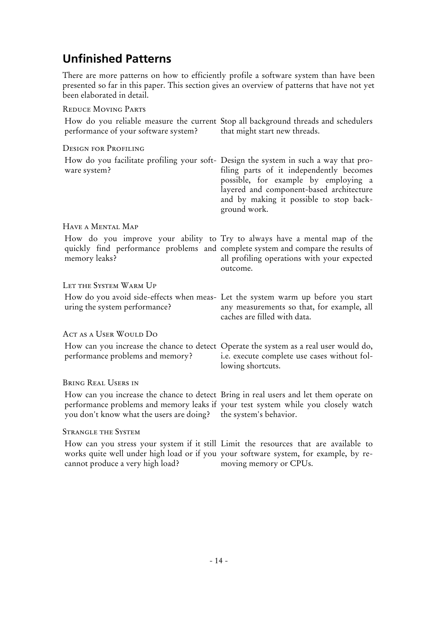### **Unfinished Patterns**

There are more patterns on how to efficiently profile a software system than have been presented so far in this paper. This section gives an overview of patterns that have not yet been elaborated in detail.

#### Reduce Moving Parts

| performance of your software system?                            | How do you reliable measure the current Stop all background threads and schedulers<br>that might start new threads.                                                                                                                                                             |
|-----------------------------------------------------------------|---------------------------------------------------------------------------------------------------------------------------------------------------------------------------------------------------------------------------------------------------------------------------------|
| <b>DESIGN FOR PROFILING</b>                                     |                                                                                                                                                                                                                                                                                 |
| ware system?                                                    | How do you facilitate profiling your soft- Design the system in such a way that pro-<br>filing parts of it independently becomes<br>possible, for example by employing a<br>layered and component-based architecture<br>and by making it possible to stop back-<br>ground work. |
| HAVE A MENTAL MAP                                               |                                                                                                                                                                                                                                                                                 |
| memory leaks?                                                   | How do you improve your ability to Try to always have a mental map of the<br>quickly find performance problems and complete system and compare the results of<br>all profiling operations with your expected<br>outcome.                                                        |
| LET THE SYSTEM WARM UP                                          |                                                                                                                                                                                                                                                                                 |
| uring the system performance?                                   | How do you avoid side-effects when meas- Let the system warm up before you start<br>any measurements so that, for example, all<br>caches are filled with data.                                                                                                                  |
| ACT AS A USER WOULD DO                                          |                                                                                                                                                                                                                                                                                 |
| performance problems and memory?                                | How can you increase the chance to detect Operate the system as a real user would do,<br>i.e. execute complete use cases without fol-<br>lowing shortcuts.                                                                                                                      |
| <b>BRING REAL USERS IN</b>                                      |                                                                                                                                                                                                                                                                                 |
| you don't know what the users are doing? the system's behavior. | How can you increase the chance to detect Bring in real users and let them operate on<br>performance problems and memory leaks if your test system while you closely watch                                                                                                      |
| <b>STRANGLE THE SYSTEM</b>                                      |                                                                                                                                                                                                                                                                                 |
|                                                                 | How can you stress your system if it still Limit the resources that are available to                                                                                                                                                                                            |

works quite well under high load or if you your software system, for example, by recannot produce a very high load? moving memory or CPUs.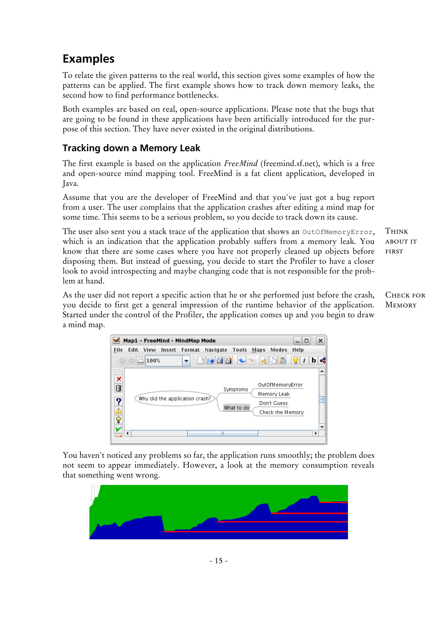### **Examples**

To relate the given patterns to the real world, this section gives some examples of how the patterns can be applied. The first example shows how to track down memory leaks, the second how to find performance bottlenecks.

Both examples are based on real, open-source applications. Please note that the bugs that are going to be found in these applications have been artificially introduced for the purpose of this section. They have never existed in the original distributions.

### **Tracking down a Memory Leak**

The first example is based on the application *FreeMind* (freemind.sf.net), which is a free and open-source mind mapping tool. FreeMind is a fat client application, developed in Java.

Assume that you are the developer of FreeMind and that you've just got a bug report from a user. The user complains that the application crashes after editing a mind map for some time. This seems to be a serious problem, so you decide to track down its cause.

The user also sent you a stack trace of the application that shows an OutOfMemoryError, which is an indication that the application probably suffers from a memory leak. You know that there are some cases where you have not properly cleaned up objects before disposing them. But instead of guessing, you decide to start the Profiler to have a closer look to avoid introspecting and maybe changing code that is not responsible for the problem at hand.

As the user did not report a specific action that he or she performed just before the crash, you decide to first get a general impression of the runtime behavior of the application. Started under the control of the Profiler, the application comes up and you begin to draw a mind map.



You haven't noticed any problems so far, the application runs smoothly; the problem does not seem to appear immediately. However, a look at the memory consumption reveals that something went wrong.



Think about it first

CHECK FOR **MEMORY**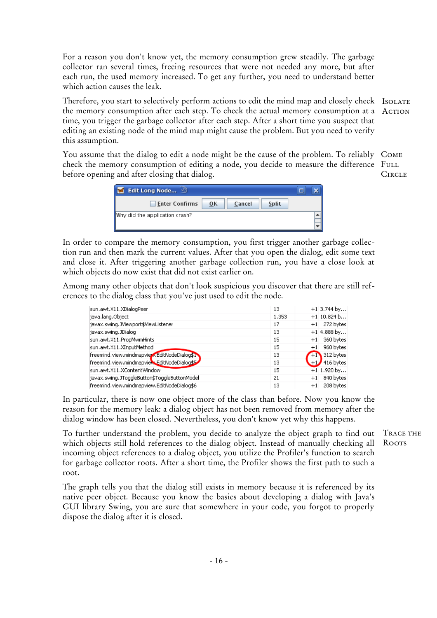For a reason you don't know yet, the memory consumption grew steadily. The garbage collector ran several times, freeing resources that were not needed any more, but after each run, the used memory increased. To get any further, you need to understand better which action causes the leak.

Therefore, you start to selectively perform actions to edit the mind map and closely check IsoLATE the memory consumption after each step. To check the actual memory consumption at a AcTION time, you trigger the garbage collector after each step. After a short time you suspect that editing an existing node of the mind map might cause the problem. But you need to verify this assumption.

You assume that the dialog to edit a node might be the cause of the problem. To reliably Come check the memory consumption of editing a node, you decide to measure the difference FuLL before opening and after closing that dialog. CIRCLE<sub></sub>

| Edit Long Node                                        | п |
|-------------------------------------------------------|---|
| <b>Enter Confirms</b><br><b>Split</b><br>Cancel<br>ОK |   |
| Why did the application crash?                        |   |

In order to compare the memory consumption, you first trigger another garbage collection run and then mark the current values. After that you open the dialog, edit some text and close it. After triggering another garbage collection run, you have a close look at which objects do now exist that did not exist earlier on.

Among many other objects that don't look suspicious you discover that there are still references to the dialog class that you've just used to edit the node.

| sun.awt.X11.XDialogPeer                      | 13    | $+1$ 3.744 by     |
|----------------------------------------------|-------|-------------------|
| java.lang.Object                             | 1.353 | $+1$ 10.824 b     |
| javax.swing.JViewport\$ViewListener          | 17    | 272 bytes<br>$+1$ |
| javax.swing.JDialog                          | 13    | $+1$ 4.888 by     |
| sun.awt.X11.PropMwmHints                     | 15    | 360 bytes<br>$+1$ |
| sun.awt.X11.XInputMethod                     | 15    | 960 bytes<br>$+1$ |
| freemind.view.mindmapview.EditNodeDialog\$1  | 13    | 312 bytes<br>$+1$ |
| freemind.view.mindmapview.EditNodeDialog\$5  | 13    | $+1$ 416 bytes    |
| Isun.awt.X11.XContentWindow                  | 15    | $+1$ 1.920 by     |
| javax.swing.JToggleButton\$ToggleButtonModel | 21    | 840 bytes<br>$+1$ |
| freemind.view.mindmapview.EditNodeDialog\$6  | 13    | 208 bytes<br>$+1$ |

In particular, there is now one object more of the class than before. Now you know the reason for the memory leak: a dialog object has not been removed from memory after the dialog window has been closed. Nevertheless, you don't know yet why this happens.

To further understand the problem, you decide to analyze the object graph to find out which objects still hold references to the dialog object. Instead of manually checking all incoming object references to a dialog object, you utilize the Profiler's function to search for garbage collector roots. After a short time, the Profiler shows the first path to such a root.

The graph tells you that the dialog still exists in memory because it is referenced by its native peer object. Because you know the basics about developing a dialog with Java's GUI library Swing, you are sure that somewhere in your code, you forgot to properly dispose the dialog after it is closed.

Trace the **ROOTS**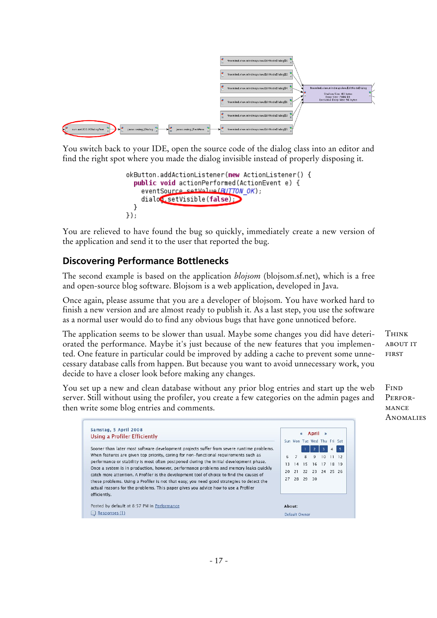

You switch back to your IDE, open the source code of the dialog class into an editor and find the right spot where you made the dialog invisible instead of properly disposing it.

```
okButton.addActionListener(new ActionListener() {
  public void actionPerformed(ActionEvent e) {
    eventSource setValue (BUTTON OK);
    dialog setVisible(false)
  <sup>}</sup>
\});
```
You are relieved to have found the bug so quickly, immediately create a new version of the application and send it to the user that reported the bug.

#### **Discovering Performance Bottlenecks**

The second example is based on the application *blojsom* (blojsom.sf.net), which is a free and open-source blog software. Blojsom is a web application, developed in Java.

Once again, please assume that you are a developer of blojsom. You have worked hard to finish a new version and are almost ready to publish it. As a last step, you use the software as a normal user would do to find any obvious bugs that have gone unnoticed before.

The application seems to be slower than usual. Maybe some changes you did have deteriorated the performance. Maybe it's just because of the new features that you implemented. One feature in particular could be improved by adding a cache to prevent some unnecessary database calls from happen. But because you want to avoid unnecessary work, you decide to have a closer look before making any changes.

You set up a new and clean database without any prior blog entries and start up the web server. Still without using the profiler, you create a few categories on the admin pages and then write some blog entries and comments.

about it **FIRST** 

**THINK** 

**F**IND PERFOR-**MANCE ANOMALIES** 

| Samstag, 5 April 2008                                                                                                                                                                           | April<br>《 |                |          |                             |    |           |   |
|-------------------------------------------------------------------------------------------------------------------------------------------------------------------------------------------------|------------|----------------|----------|-----------------------------|----|-----------|---|
| Using a Profiler Efficiently                                                                                                                                                                    |            |                |          | Sun Mon Tue Wed Thu Fri Sat |    |           |   |
| Sooner than later most software development projects suffer from severe runtime problems.                                                                                                       |            |                |          |                             |    |           | 5 |
| When features are given top priority, caring for non-functional requirements such as                                                                                                            | 6          | $\overline{7}$ | 8        | 9                           | 10 | $11 \t12$ |   |
| performance or stability is most often postponed during the initial development phase.                                                                                                          | 13         | 14             | 15       | 16                          | 17 | 18 19     |   |
| Once a system is in production, however, performance problems and memory leaks quickly<br>catch more attention. A Profiler is the development tool of choice to find the causes of              | 20         | 21             |          | 22 23 24 25 26              |    |           |   |
| these problems. Using a Profiler is not that easy; you need good strategies to detect the<br>actual reasons for the problems. This paper gives you advice how to use a Profiler<br>efficiently. | 27         |                | 28 29 30 |                             |    |           |   |
| Posted by default at 8:57 PM in Performance                                                                                                                                                     | About:     |                |          |                             |    |           |   |
| Responses (1)                                                                                                                                                                                   |            | Default Owner  |          |                             |    |           |   |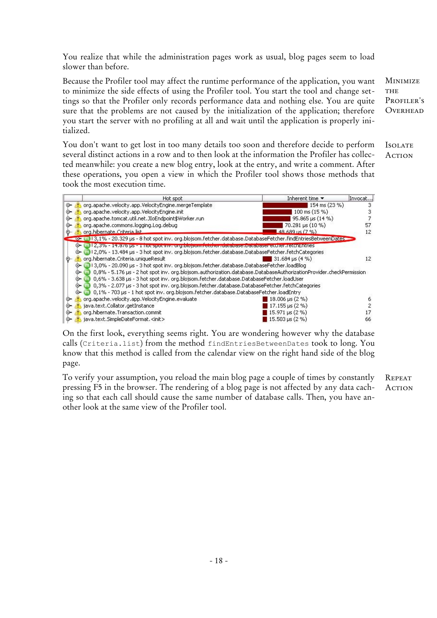You realize that while the administration pages work as usual, blog pages seem to load slower than before.

Because the Profiler tool may affect the runtime performance of the application, you want to minimize the side effects of using the Profiler tool. You start the tool and change settings so that the Profiler only records performance data and nothing else. You are quite sure that the problems are not caused by the initialization of the application; therefore you start the server with no profiling at all and wait until the application is properly initialized.

You don't want to get lost in too many details too soon and therefore decide to perform several distinct actions in a row and to then look at the information the Profiler has collected meanwhile: you create a new blog entry, look at the entry, and write a comment. After these operations, you open a view in which the Profiler tool shows those methods that took the most execution time.

|    |    | Inherent time $\blacktriangledown$<br>Hot spot                                                                     | Invocat |
|----|----|--------------------------------------------------------------------------------------------------------------------|---------|
| ⊶  |    | org.apache.velocity.app.VelocityEngine.mergeTemplate<br>154 ms (23 %)                                              |         |
| ⊙− |    | org.apache.velocity.app.VelocityEngine.init<br>100 ms (15 %)                                                       |         |
| ⊙∽ |    | org.apache.tomcat.util.net.JIoEndpoint\$Worker.run<br>95.865 µs (14 %)                                             |         |
| ⊙− |    | org.apache.commons.logging.Log.debug<br>70.281 µs (10 %)                                                           | 57      |
|    |    | org.hibernate.Criteria.list<br>$48,689$ us $(7, \%)$                                                               | 12      |
|    |    | co= m) 13,1% - 20.329 µs - 8 hot spot inv. org.blojsom.fetcher.database.DatabaseFetcher.findEntriesBetweenDates    |         |
|    |    | [m] 12,3% - 14,375 ps - 1 not spot inv. org.biojsom.fetcher.database.batabase.etcher.retchentries                  |         |
|    |    | 12,0% - 13.484 µs - 3 hot spot inv. org.blojsom.fetcher.database.DatabaseFetcher.fetchCategories                   |         |
|    |    | org.hibernate.Criteria.uniqueResult<br>$31.684 \text{ us } (4 \% )$                                                | 12      |
|    |    | 13,0% - 20.090 µs - 3 hot spot inv. org.blojsom.fetcher.database.DatabaseFetcher.loadBlog                          |         |
|    | ⊙− | 0,8% - 5.176 µs - 2 hot spot inv. org.blojsom.authorization.database.DatabaseAuthorizationProvider.checkPermission |         |
|    | ⊙− | 0,6% - 3.638 µs - 3 hot spot inv. org.blojsom.fetcher.database.DatabaseFetcher.loadUser                            |         |
|    | ⊙− | 0,3% - 2.077 us - 3 hot spot inv. org.blojsom.fetcher.database.DatabaseFetcher.fetchCategories                     |         |
|    |    | 0,1% - 703 µs - 1 hot spot inv. org.blojsom.fetcher.database.DatabaseFetcher.loadEntry                             |         |
|    |    | org.apache.velocity.app.VelocityEngine.evaluate<br>18.006 us (2 %)                                                 |         |
| ⊙− |    | java.text.Collator.getInstance<br>17.155 $\mu$ s (2 %)                                                             |         |
| ⊶  |    | org.hibernate.Transaction.commit<br>15.971 µs (2 %)                                                                |         |
| ⊶  |    | java.text.SimpleDateFormat. <init><br/>15.503 us (2 %)</init>                                                      | 66      |

On the first look, everything seems right. You are wondering however why the database calls (Criteria.list) from the method findEntriesBetweenDates took to long. You know that this method is called from the calendar view on the right hand side of the blog page.

To verify your assumption, you reload the main blog page a couple of times by constantly pressing F5 in the browser. The rendering of a blog page is not affected by any data caching so that each call should cause the same number of database calls. Then, you have another look at the same view of the Profiler tool. **REPEAT ACTION** 

**MINIMIZE** THE PROFILER'S **OVERHEAD** 

**ISOLATE ACTION**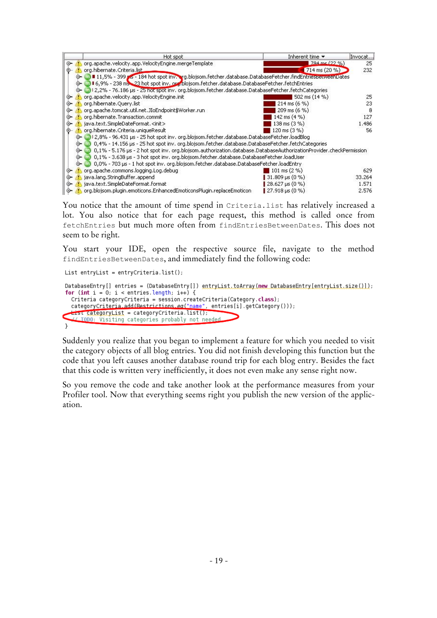|    | Hot spot                                                                                                                 | Inherent time ▼                    | Invocat |  |  |  |  |
|----|--------------------------------------------------------------------------------------------------------------------------|------------------------------------|---------|--|--|--|--|
| ⊶  | org.apache.velocity.app.VelocityEngine.mergeTemplate                                                                     | $784 \text{ me } (22 \frac{9}{6})$ | 25      |  |  |  |  |
|    | org.hibernate.Criteria.list                                                                                              | $714 \text{ ms} (20 \text{ %})$    | 232     |  |  |  |  |
|    | 11,5% - 399 ps - 184 hot spot inv. erg.blojsom.fetcher.database.DatabaseFetcher.findEntriesBeuweenDates                  |                                    |         |  |  |  |  |
|    | 16,9% - 238 ms 23 hot spot inv. or blojsom.fetcher.database.DatabaseFetcher.fetchEntries                                 |                                    |         |  |  |  |  |
|    | 12,2% - 76.186 us - 25 hot spot inv, org.blojsom.fetcher.database.DatabaseFetcher.fetchCategories                        |                                    |         |  |  |  |  |
| ⊶  | org.apache.velocity.app.VelocityEngine.init                                                                              | 502 ms $(14 \%)$                   | 25      |  |  |  |  |
| ⊶  | org.hibernate.Query.list                                                                                                 | $214 \text{ ms } (6 \text{ %})$    | 23      |  |  |  |  |
|    | org.apache.tomcat.util.net.JIoEndpoint\$Worker.run                                                                       | 209 ms (6 %)                       | 8       |  |  |  |  |
| ⊙− | org.hibernate.Transaction.commit                                                                                         | 142 ms (4 %)                       | 127     |  |  |  |  |
| ⊶  | java.text.SimpleDateFormat. <init></init>                                                                                | 138 ms (3 %)                       | 1.486   |  |  |  |  |
|    | org.hibernate.Criteria.uniqueResult                                                                                      | 120 ms (3 %)                       | 56      |  |  |  |  |
|    | 12,8% - 96.431 µs - 25 hot spot inv. org.blojsom.fetcher.database.DatabaseFetcher.loadBlog                               |                                    |         |  |  |  |  |
|    | 0,4% - 14.156 µs - 25 hot spot inv. org.blojsom.fetcher.database.DatabaseFetcher.fetchCategories                         |                                    |         |  |  |  |  |
|    | 0,1% - 5.176 µs - 2 hot spot inv. org.blojsom.authorization.database.DatabaseAuthorizationProvider.checkPermission<br>⊕− |                                    |         |  |  |  |  |
|    | 0,1% - 3.638 µs - 3 hot spot inv. org.blojsom.fetcher.database.DatabaseFetcher.loadUser<br>⊕                             |                                    |         |  |  |  |  |
|    | 0,0% - 703 µs - 1 hot spot inv. org.blojsom.fetcher.database.DatabaseFetcher.loadEntry                                   |                                    |         |  |  |  |  |
| ⊙− | org.apache.commons.logging.Log.debug                                                                                     | 101 ms $(2\%)$                     | 629     |  |  |  |  |
| ⊶  | java.lang.StringBuffer.append                                                                                            | 31.809 µs (0 %)                    | 33.264  |  |  |  |  |
| ⊶  | java.text.SimpleDateFormat.format                                                                                        | 28.627 us (0 %)                    | 1.571   |  |  |  |  |
| ⊶  | org.blojsom.plugin.emoticons.EnhancedEmoticonsPlugin.replaceEmoticon                                                     | 27.918 us (0 %)                    | 2.576   |  |  |  |  |

You notice that the amount of time spend in Criteria.list has relatively increased a lot. You also notice that for each page request, this method is called once from fetchEntries but much more often from findEntriesBetweenDates. This does not seem to be right.

You start your IDE, open the respective source file, navigate to the method findEntriesBetweenDates, and immediately find the following code:

```
List entryList = entryCriteria.list();
DatabaseEntry[] entries = (DatabaseEntry[]) entryList.toArray(new.DatabaseEntry[entryList.size()]);
for (int i = 0; i < entries length; i++) {
  Criteria categoryCriteria = session.createCriteria(Category.class);
  categoryCriteria.add(Restrictions.ea("name", entries[i].getCategory()));
  List categoryList = categoryCriteria.list();
   (/ TODO: Visiting categories probably not needed
\mathbf{r}
```
Suddenly you realize that you began to implement a feature for which you needed to visit the category objects of all blog entries. You did not finish developing this function but the code that you left causes another database round trip for each blog entry. Besides the fact that this code is written very inefficiently, it does not even make any sense right now.

So you remove the code and take another look at the performance measures from your Profiler tool. Now that everything seems right you publish the new version of the application.